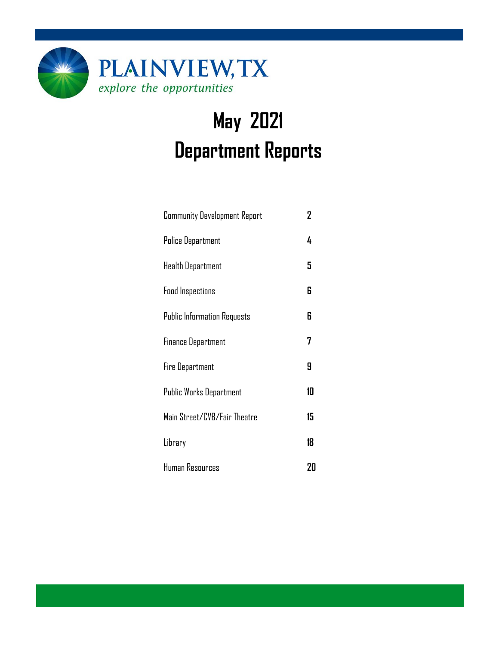

# **May 2021 Department Reports**

| <b>Community Development Report</b> | 2  |
|-------------------------------------|----|
| Police Department                   | 4  |
| Health Department                   | 5  |
| <b>Food Inspections</b>             | 6  |
| <b>Public Information Requests</b>  | 6  |
| <b>Finance Department</b>           | 7  |
| Fire Department                     | 9  |
| Public Works Department             | 10 |
| Main Street/CVB/Fair Theatre        | 15 |
| Library                             | 18 |
| Human Resources                     | 20 |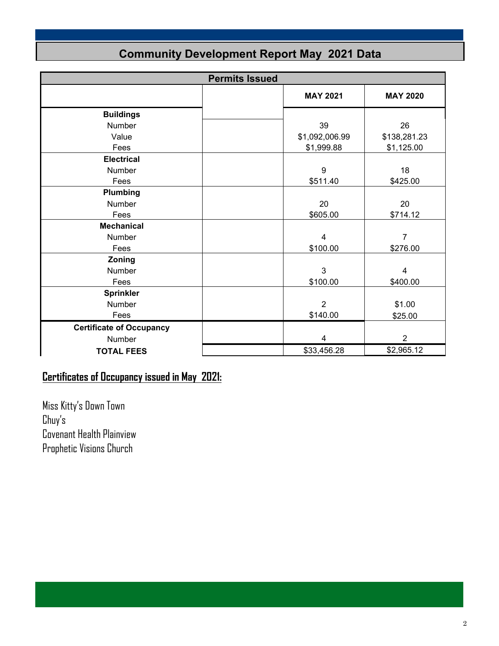| <b>Permits Issued</b>           |  |                         |                 |  |  |
|---------------------------------|--|-------------------------|-----------------|--|--|
|                                 |  | <b>MAY 2021</b>         | <b>MAY 2020</b> |  |  |
| <b>Buildings</b>                |  |                         |                 |  |  |
| Number                          |  | 39                      | 26              |  |  |
| Value                           |  | \$1,092,006.99          | \$138,281.23    |  |  |
| Fees                            |  | \$1,999.88              | \$1,125.00      |  |  |
| <b>Electrical</b>               |  |                         |                 |  |  |
| <b>Number</b>                   |  | 9                       | 18              |  |  |
| Fees                            |  | \$511.40                | \$425.00        |  |  |
| Plumbing                        |  |                         |                 |  |  |
| Number                          |  | 20                      | 20              |  |  |
| Fees                            |  | \$605.00                | \$714.12        |  |  |
| <b>Mechanical</b>               |  |                         |                 |  |  |
| Number                          |  | $\overline{\mathbf{4}}$ | $\overline{7}$  |  |  |
| Fees                            |  | \$100.00                | \$276.00        |  |  |
| Zoning                          |  |                         |                 |  |  |
| Number                          |  | 3                       | 4               |  |  |
| Fees                            |  | \$100.00                | \$400.00        |  |  |
| <b>Sprinkler</b>                |  |                         |                 |  |  |
| Number                          |  | $\overline{2}$          | \$1.00          |  |  |
| Fees                            |  | \$140.00                | \$25.00         |  |  |
| <b>Certificate of Occupancy</b> |  |                         |                 |  |  |
| Number                          |  | $\overline{4}$          | $\overline{2}$  |  |  |
| <b>TOTAL FEES</b>               |  | \$33,456.28             | \$2,965.12      |  |  |

### **Community Development Report May 2021 Data**

### **Certificates of Occupancy issued in May 2021:**

Miss Kitty's Down Town Chuy's Covenant Health Plainview Prophetic Visions Church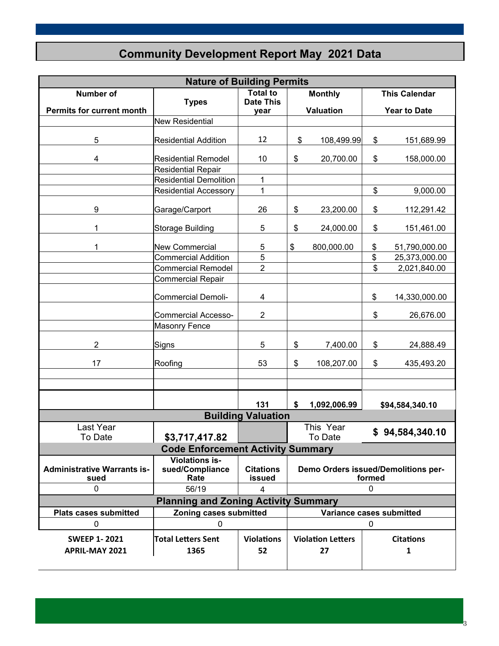### **Community Development Report May 2021 Data**

|                                    | <b>Nature of Building Permits</b>                  |                           |        |                          |    |                                     |  |
|------------------------------------|----------------------------------------------------|---------------------------|--------|--------------------------|----|-------------------------------------|--|
| Number of                          |                                                    | <b>Total to</b>           |        | <b>Monthly</b>           |    | <b>This Calendar</b>                |  |
| <b>Permits for current month</b>   | <b>Types</b>                                       | <b>Date This</b><br>year  |        | <b>Valuation</b>         |    | <b>Year to Date</b>                 |  |
|                                    | <b>New Residential</b>                             |                           |        |                          |    |                                     |  |
|                                    |                                                    |                           |        |                          |    |                                     |  |
| 5                                  | <b>Residential Addition</b>                        | 12                        | \$     | 108,499.99               | \$ | 151,689.99                          |  |
| 4                                  | <b>Residential Remodel</b>                         | 10                        | \$     | 20,700.00                | \$ | 158,000.00                          |  |
|                                    | <b>Residential Repair</b>                          |                           |        |                          |    |                                     |  |
|                                    | <b>Residential Demolition</b>                      | 1                         |        |                          |    |                                     |  |
|                                    | <b>Residential Accessory</b>                       | 1                         |        |                          | \$ | 9,000.00                            |  |
|                                    |                                                    |                           |        |                          |    |                                     |  |
| 9                                  | Garage/Carport                                     | 26                        | \$     | 23,200.00                | \$ | 112,291.42                          |  |
|                                    |                                                    |                           |        |                          |    |                                     |  |
| 1                                  | <b>Storage Building</b>                            | 5                         | \$     | 24,000.00                | \$ | 151,461.00                          |  |
| 1                                  | <b>New Commercial</b>                              | 5                         | \$     | 800,000.00               | \$ | 51,790,000.00                       |  |
|                                    | <b>Commercial Addition</b>                         | 5                         |        |                          | \$ | 25,373,000.00                       |  |
|                                    | <b>Commercial Remodel</b>                          | $\overline{2}$            |        |                          | \$ | 2,021,840.00                        |  |
|                                    | <b>Commercial Repair</b>                           |                           |        |                          |    |                                     |  |
|                                    | <b>Commercial Demoli-</b>                          | 4                         |        |                          | \$ | 14,330,000.00                       |  |
|                                    |                                                    |                           |        |                          |    |                                     |  |
| <b>Commercial Accesso-</b>         |                                                    | $\overline{2}$            |        |                          | \$ | 26,676.00                           |  |
|                                    | <b>Masonry Fence</b>                               |                           |        |                          |    |                                     |  |
| $\overline{2}$                     | Signs                                              | 5                         | \$     | 7,400.00                 | \$ | 24,888.49                           |  |
| 17                                 | Roofing                                            | 53                        | \$     | 108,207.00               | \$ | 435,493.20                          |  |
|                                    |                                                    |                           |        |                          |    |                                     |  |
|                                    |                                                    |                           |        |                          |    |                                     |  |
|                                    |                                                    | 131                       | \$     | 1,092,006.99             |    | \$94,584,340.10                     |  |
|                                    |                                                    | <b>Building Valuation</b> |        |                          |    |                                     |  |
| Last Year                          |                                                    |                           |        | This Year                |    |                                     |  |
| To Date                            | \$3,717,417.82                                     |                           |        | To Date                  |    | \$94,584,340.10                     |  |
|                                    | <b>Code Enforcement Activity Summary</b>           |                           |        |                          |    |                                     |  |
|                                    | <b>Violations is-</b>                              |                           |        |                          |    |                                     |  |
| <b>Administrative Warrants is-</b> | sued/Compliance                                    | <b>Citations</b>          |        |                          |    | Demo Orders issued/Demolitions per- |  |
| sued                               | Rate                                               | issued                    | formed |                          |    |                                     |  |
| 0                                  | 56/19                                              | 4                         | 0      |                          |    |                                     |  |
|                                    | <b>Planning and Zoning Activity Summary</b>        |                           |        |                          |    |                                     |  |
| <b>Plats cases submitted</b>       | Zoning cases submitted<br>Variance cases submitted |                           |        |                          |    |                                     |  |
| 0                                  | $\Omega$                                           |                           |        |                          | 0  |                                     |  |
| <b>SWEEP 1-2021</b>                | <b>Total Letters Sent</b>                          | <b>Violations</b>         |        | <b>Violation Letters</b> |    | <b>Citations</b>                    |  |
| <b>APRIL-MAY 2021</b>              | 1365                                               | 52                        |        | 27                       |    | 1                                   |  |
|                                    |                                                    |                           |        |                          |    |                                     |  |

3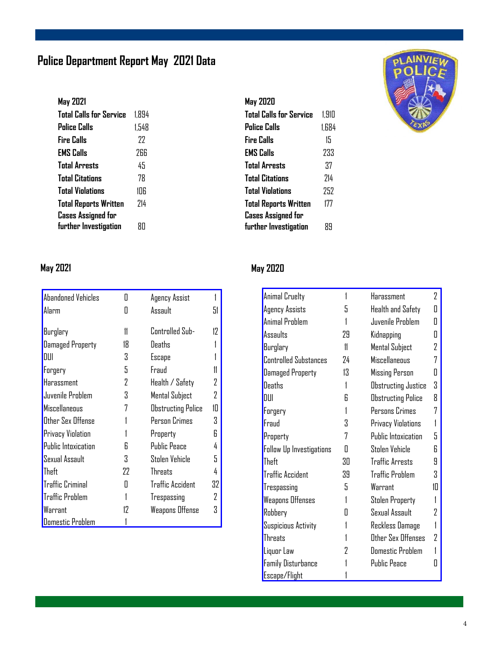### **Police Department Report May 2021 Data**

| May 2021                       |       |
|--------------------------------|-------|
| <b>Total Calls for Service</b> | 1.894 |
| Police Calls                   | 1.548 |
| <b>Fire Calls</b>              | 77    |
| <b>EMS Calls</b>               | 266   |
| <b>Total Arrests</b>           | 45    |
| <b>Total Citations</b>         | 78    |
| <b>Total Violations</b>        | 1NR   |
| <b>Total Reports Written</b>   | 714   |
| <b>Cases Assigned for</b>      |       |
| further Investigation          | ЯΠ    |

#### **May 2020**

| Total Calls for Service      | 1.910 |
|------------------------------|-------|
| <b>Police Calls</b>          | 1.684 |
| Fire Calls                   | 15    |
| <b>EMS Calls</b>             | 233   |
| <b>Total Arrests</b>         | 37    |
| <b>Total Citations</b>       | 714   |
| <b>Total Violations</b>      | 252   |
| <b>Total Reports Written</b> | 177   |
| <b>Cases Assigned for</b>    |       |
| further Investigation        | 89    |



| Abandoned Vehicles       |    | Agency Assist             |    |
|--------------------------|----|---------------------------|----|
| Alarm                    |    | Assault                   | 51 |
|                          |    |                           |    |
| Burglary                 | 11 | Controlled Sub-           | 17 |
| <b>Damaged Property</b>  | 18 | Deaths                    |    |
| DUI                      | 3  | Escape                    |    |
| Forgery                  | 5  | Fraud                     |    |
| Harassment               | 2  | Health / Safety           | 7  |
| Juvenile Problem         | 3  | Mental Subject            | 7  |
| Miscellaneous            | 7  | <b>Obstructing Police</b> | 1П |
| Other Sex Offense        |    | Person Crimes             | 3  |
| <b>Privacy Violation</b> |    | Property                  | R  |
| Public Intoxication      | R  | <b>Public Peace</b>       | 4  |
| Sexual Assault           | 3  | Stolen Vehicle            | 5. |
| Theft                    | 22 | <b>Threats</b>            |    |
| <b>Traffic Criminal</b>  | П  | <b>Traffic Accident</b>   | 32 |
| <b>Traffic Problem</b>   |    | Trespassing               | 7  |
| Warrant                  | 12 | Weapons Offense           | 3  |
| Domestic Problem         |    |                           |    |

### **May 2021 May 2020**

| Animal Cruelty               | 1  | Harassment                | 2  |
|------------------------------|----|---------------------------|----|
| Agency Assists               | 5  | Health and Safety         | П  |
| Animal Problem               |    | Juvenile Problem          | Π  |
| Assaults                     | 29 | Kidnapping                | Π  |
| Burglary                     | 11 | Mental Subject            | 2  |
| <b>Controlled Substances</b> | 24 | Miscellaneous             | 7  |
| Damaged Property             | 13 | Missing Person            | П  |
| Deaths                       |    | Obstructing Justice       | 3  |
| DIII                         | R  | <b>Obstructing Police</b> | Я  |
| Forgery                      |    | Persons Crimes            | 7  |
| Fraud                        | 3  | Privacy Violations        |    |
| Property                     | 7  | Public Intoxication       | 5  |
| Follow Up Investigations     | П  | Stolen Vehicle            | R  |
| Theft                        | ЗO | Traffic Arrests           | 9  |
| <b>Traffic Accident</b>      | 39 | <b>Traffic Problem</b>    | 3  |
| Trespassing                  | 5  | Warrant                   | 1П |
| <b>Weapons Offenses</b>      | 1  | Stolen Property           |    |
| Robbery                      | П  | Sexual Assault            | 2  |
| Suspicious Activity          |    | Reckless Damage           |    |
| <b>Threats</b>               |    | Other Sex Offenses        | 7  |
| Liquor Law                   | 7  | Domestic Problem          |    |
| <b>Family Disturbance</b>    |    | <b>Public Peace</b>       | П  |
| Escape/Flight                |    |                           |    |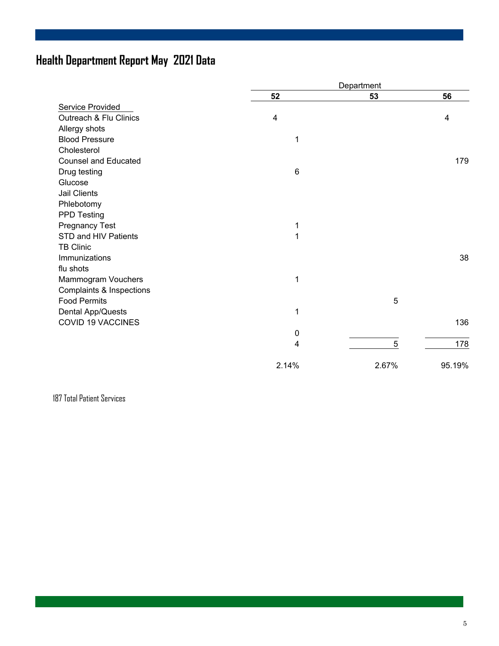### **Health Department Report May 2021 Data**

|                             |           | Department |        |  |
|-----------------------------|-----------|------------|--------|--|
|                             | 52        | 53         | 56     |  |
| Service Provided            |           |            |        |  |
| Outreach & Flu Clinics      | 4         |            | 4      |  |
| Allergy shots               |           |            |        |  |
| <b>Blood Pressure</b>       | 1         |            |        |  |
| Cholesterol                 |           |            |        |  |
| <b>Counsel and Educated</b> |           |            | 179    |  |
| Drug testing                | 6         |            |        |  |
| Glucose                     |           |            |        |  |
| Jail Clients                |           |            |        |  |
| Phlebotomy                  |           |            |        |  |
| <b>PPD Testing</b>          |           |            |        |  |
| <b>Pregnancy Test</b>       | 1         |            |        |  |
| STD and HIV Patients        | 1         |            |        |  |
| <b>TB Clinic</b>            |           |            |        |  |
| Immunizations               |           |            | 38     |  |
| flu shots                   |           |            |        |  |
| Mammogram Vouchers          | 1         |            |        |  |
| Complaints & Inspections    |           |            |        |  |
| <b>Food Permits</b>         |           | 5          |        |  |
| Dental App/Quests           | 1         |            |        |  |
| <b>COVID 19 VACCINES</b>    |           |            | 136    |  |
|                             | $\pmb{0}$ |            |        |  |
|                             | 4         | 5          | 178    |  |
|                             | 2.14%     | 2.67%      | 95.19% |  |

187 Total Patient Services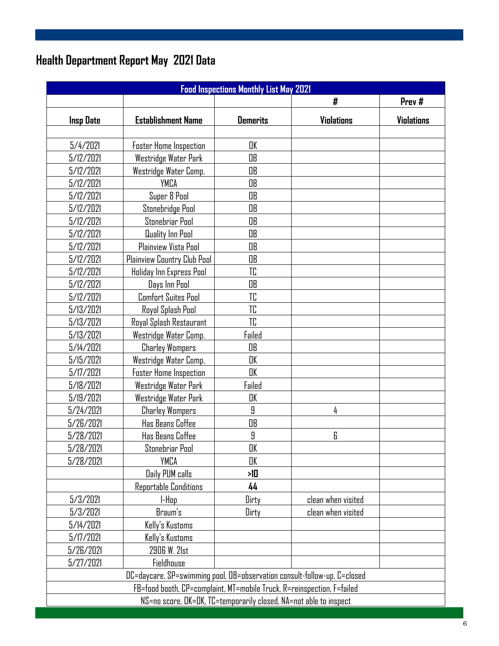### **Health Department Report May 2021 Data**

| <b>Food Inspections Monthly List May 2021</b> |                                                                          |                 |                    |            |  |  |  |
|-----------------------------------------------|--------------------------------------------------------------------------|-----------------|--------------------|------------|--|--|--|
|                                               |                                                                          |                 | #                  | Prev#      |  |  |  |
| <b>Insp Date</b>                              | <b>Establishment Name</b>                                                | <b>Demerits</b> | <b>Violations</b>  | Violations |  |  |  |
|                                               |                                                                          |                 |                    |            |  |  |  |
| 5/4/2021                                      | <b>Foster Home Inspection</b>                                            | OK              |                    |            |  |  |  |
| 5/12/2021                                     | Westridge Water Park                                                     | OB              |                    |            |  |  |  |
| 5/12/2021                                     | Westridge Water Comp.                                                    | OB              |                    |            |  |  |  |
| 5/12/2021                                     | YMCA                                                                     | OB              |                    |            |  |  |  |
| 5/12/2021                                     | Super 8 Pool                                                             | OB              |                    |            |  |  |  |
| 5/12/2021                                     | Stonebridge Pool                                                         | <b>OB</b>       |                    |            |  |  |  |
| 5/12/2021                                     | Stonebriar Pool                                                          | OB              |                    |            |  |  |  |
| 5/12/2021                                     | Quality Inn Pool                                                         | OB              |                    |            |  |  |  |
| 5/12/2021                                     | Plainview Vista Pool                                                     | OB              |                    |            |  |  |  |
| 5/12/2021                                     | Plainview Country Club Pool                                              | OB              |                    |            |  |  |  |
| 5/12/2021                                     | Holiday Inn Express Pool                                                 | TC              |                    |            |  |  |  |
| 5/12/2021                                     | Days Inn Pool                                                            | OB              |                    |            |  |  |  |
| 5/12/2021                                     | <b>Comfort Suites Pool</b>                                               | TC              |                    |            |  |  |  |
| 5/13/2021                                     | Royal Splash Pool                                                        | TC              |                    |            |  |  |  |
| 5/13/2021                                     | Royal Splash Restaurant                                                  | TC              |                    |            |  |  |  |
| 5/13/2021                                     | Westridge Water Comp.                                                    | Failed          |                    |            |  |  |  |
| 5/14/2021                                     | <b>Charley Wompers</b>                                                   | OB              |                    |            |  |  |  |
| 5/15/2021                                     | Westridge Water Comp.                                                    | OK              |                    |            |  |  |  |
| 5/17/2021                                     | <b>Foster Home Inspection</b>                                            | OK              |                    |            |  |  |  |
| 5/18/2021                                     | Westridge Water Park                                                     | Failed          |                    |            |  |  |  |
| 5/19/2021                                     | Westridge Water Park                                                     | OK              |                    |            |  |  |  |
| 5/24/2021                                     | <b>Charley Wompers</b>                                                   | 9               | 4                  |            |  |  |  |
| 5/26/2021                                     | <b>Has Beans Coffee</b>                                                  | OB              |                    |            |  |  |  |
| 5/28/2021                                     | Has Beans Coffee                                                         | 9               | 6                  |            |  |  |  |
| 5/28/2021                                     | Stonebriar Pool                                                          | OK              |                    |            |  |  |  |
| 5/28/2021                                     | YMCA                                                                     | OK              |                    |            |  |  |  |
|                                               | Daily PUM calls                                                          | 게               |                    |            |  |  |  |
|                                               | Reportable Conditions                                                    | 44              |                    |            |  |  |  |
| 5/3/2021                                      | l-Hap                                                                    | Dirty           | clean when visited |            |  |  |  |
| 5/3/2021                                      | Braum's                                                                  | Dirty           | clean when visited |            |  |  |  |
| 5/14/2021                                     | Kelly's Kustoms                                                          |                 |                    |            |  |  |  |
| 5/17/2021                                     | Kelly's Kustoms                                                          |                 |                    |            |  |  |  |
| 5/26/2021                                     | 2906 W. 21st                                                             |                 |                    |            |  |  |  |
| 5/27/2021                                     | <b>Fieldhouse</b>                                                        |                 |                    |            |  |  |  |
|                                               | DC=daycare, SP=swimming pool, OB=observation consult-follow-up, C=closed |                 |                    |            |  |  |  |
|                                               | FB=food booth, CP=complaint, MT=mobile Truck, R=reinspection, F=failed   |                 |                    |            |  |  |  |
|                                               | NS=no score, OK=OK, TC=temporarily closed, NA=not able to inspect        |                 |                    |            |  |  |  |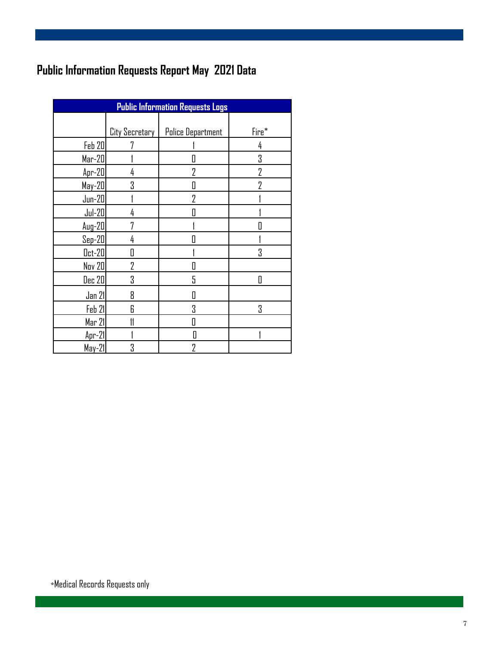### **Public Information Requests Report May 2021 Data**

| <b>Public Information Requests Logs</b> |                |                          |       |  |  |  |  |
|-----------------------------------------|----------------|--------------------------|-------|--|--|--|--|
|                                         |                |                          |       |  |  |  |  |
|                                         | City Secretary | <b>Police Department</b> | Fire* |  |  |  |  |
| Feb 20                                  |                |                          | 4     |  |  |  |  |
| $Mar-20$                                |                | Π                        | 3     |  |  |  |  |
| Apr-20                                  | 4              | 7                        | 7     |  |  |  |  |
| May-20                                  | 3              | П                        | 7     |  |  |  |  |
| $Jun-20$                                |                | $\overline{2}$           |       |  |  |  |  |
| $Jul-20$                                | 4              | П                        |       |  |  |  |  |
| $Aug-20$                                | 7              |                          |       |  |  |  |  |
| $Sep-20$                                | 4              | П                        |       |  |  |  |  |
| $0ct-20$                                | П              |                          | 3     |  |  |  |  |
| <b>Nov 20</b>                           | 7              |                          |       |  |  |  |  |
| Dec 20                                  | 3              | 5                        | Π     |  |  |  |  |
| Jan 21                                  | 8              | Π                        |       |  |  |  |  |
| Feb 21                                  | 6              | 3                        | 3     |  |  |  |  |
| Mar 21                                  | 11             | Π                        |       |  |  |  |  |
| $Ar-21$                                 |                | Π                        |       |  |  |  |  |
| $May-21$                                | 3              | 7                        |       |  |  |  |  |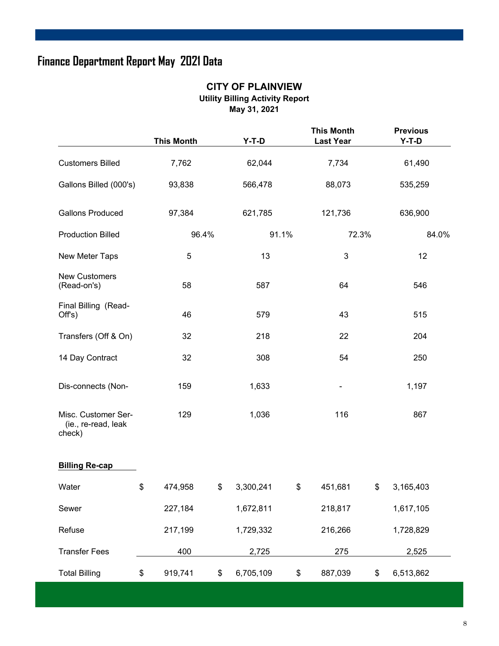### **Finance Department Report May 2021 Data**

#### **CITY OF PLAINVIEW Utility Billing Activity Report May 31, 2021**

|                                                      |                 | <b>This Month</b> |       | $Y-T-D$   |       | <b>This Month</b><br><b>Last Year</b> |    | <b>Previous</b><br>$Y-T-D$ |       |
|------------------------------------------------------|-----------------|-------------------|-------|-----------|-------|---------------------------------------|----|----------------------------|-------|
| <b>Customers Billed</b>                              | 62,044<br>7,762 |                   | 7,734 |           |       |                                       |    |                            |       |
| Gallons Billed (000's)                               |                 | 93,838            |       | 566,478   |       | 88,073                                |    | 535,259                    |       |
| <b>Gallons Produced</b>                              |                 | 97,384            |       | 621,785   |       | 121,736                               |    | 636,900                    |       |
| <b>Production Billed</b>                             |                 | 96.4%             |       |           | 91.1% | 72.3%                                 |    |                            | 84.0% |
| New Meter Taps                                       |                 | $\sqrt{5}$        |       | 13        |       | 3                                     |    | 12                         |       |
| <b>New Customers</b><br>(Read-on's)                  |                 | 58                |       | 587       |       | 64                                    |    | 546                        |       |
| Final Billing (Read-<br>Off's)                       |                 | 46                |       | 579       |       | 43                                    |    | 515                        |       |
| Transfers (Off & On)                                 |                 | 32                |       | 218       |       | 22                                    |    | 204                        |       |
| 14 Day Contract                                      |                 | 32                |       | 308       |       | 54                                    |    | 250                        |       |
| Dis-connects (Non-                                   |                 | 159               | 1,633 |           |       |                                       |    | 1,197                      |       |
| Misc. Customer Ser-<br>(ie., re-read, leak<br>check) |                 | 129               |       | 1,036     |       | 116                                   |    | 867                        |       |
| <b>Billing Re-cap</b>                                |                 |                   |       |           |       |                                       |    |                            |       |
| Water                                                | \$              | 474,958           | \$    | 3,300,241 | \$    | 451,681                               | \$ | 3,165,403                  |       |
| Sewer                                                |                 | 227,184           |       | 1,672,811 |       | 218,817                               |    | 1,617,105                  |       |
| Refuse                                               |                 | 217,199           |       | 1,729,332 |       | 216,266                               |    | 1,728,829                  |       |
| <b>Transfer Fees</b>                                 |                 | 400               |       | 2,725     |       | 275                                   |    | 2,525                      |       |
| <b>Total Billing</b>                                 | \$              | 919,741           | \$    | 6,705,109 | \$    | 887,039                               | \$ | 6,513,862                  |       |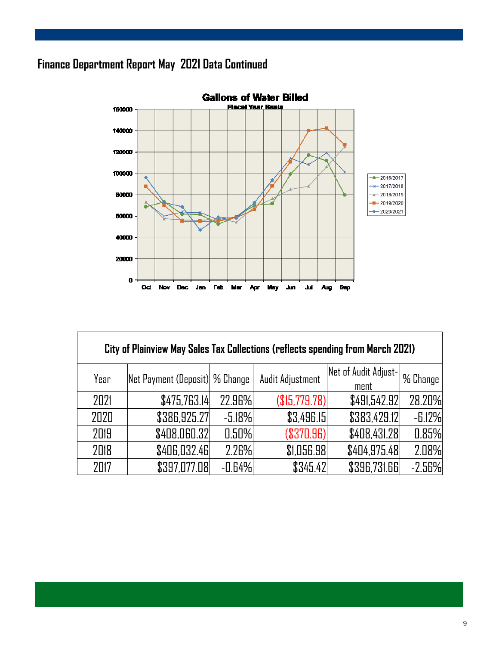### **Finance Department Report May 2021 Data Continued**



| City of Plainview May Sales Tax Collections (reflects spending from March 2021) |                                 |          |                  |                      |            |  |  |  |  |
|---------------------------------------------------------------------------------|---------------------------------|----------|------------------|----------------------|------------|--|--|--|--|
| Year                                                                            | Net Payment (Deposit)  % Change |          | Audit Adjustment | Net of Audit Adjust- | 1 % Change |  |  |  |  |
|                                                                                 |                                 |          |                  | ment                 |            |  |  |  |  |
| 2021                                                                            | \$475,763.14                    | 22.96%   | (\$15,779.78)    | \$491,542.92         | 28.20%     |  |  |  |  |
| 2020                                                                            | \$386,925.27                    | $-5.18%$ | \$3,496.15       | \$383,429.12         | $-6.12%$   |  |  |  |  |
| 2019                                                                            | \$408,060.32                    | 0.50%    | (\$370.96)       | \$408,431.28         | 0.85%      |  |  |  |  |
| 2018                                                                            | \$406,032.46                    | 2.26%    | \$1,056.98       | \$404,975.48         | 2.08%      |  |  |  |  |
| 2017                                                                            | \$397,077.08                    | $-0.64%$ | \$345.42         | \$396,731.66         | $-2.56%$   |  |  |  |  |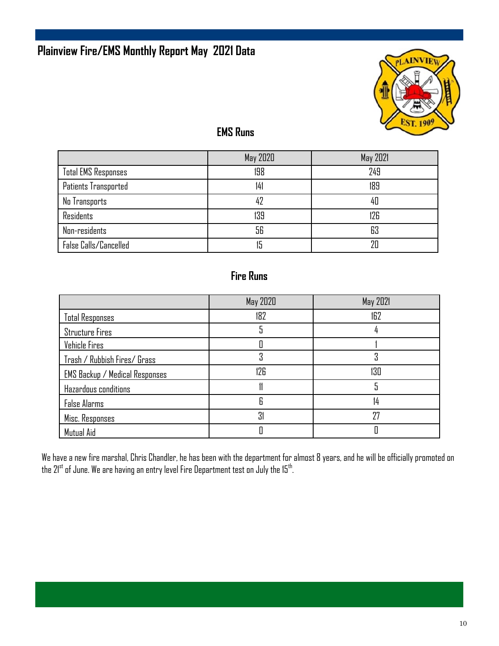### **Plainview Fire/EMS Monthly Report May 2021 Data**



#### **EMS Runs**

|                            | May 2020 | May 2021 |
|----------------------------|----------|----------|
| <b>Total EMS Responses</b> | 198      | 249      |
| Patients Transported       | 141      | 189      |
| No Transports              | 42       | 40       |
| Residents                  | 139      | 126      |
| Non-residents              | 56       | 63       |
| False Calls/Cancelled      |          | 20       |

#### **Fire Runs**

|                                       | May 2020 | May 2021 |
|---------------------------------------|----------|----------|
| <b>Total Responses</b>                | 182      | 162      |
| <b>Structure Fires</b>                |          |          |
| Vehicle Fires                         |          |          |
| Trash / Rubbish Fires/ Grass          | η        |          |
| <b>EMS Backup / Medical Responses</b> | 126      | 130      |
| Hazardous conditions                  |          |          |
| <b>False Alarms</b>                   | Я        | 14       |
| Misc. Responses                       | 31       | 27       |
| Mutual Aid                            |          |          |

We have a new fire marshal, Chris Chandler, he has been with the department for almost 8 years, and he will be officially promoted on the  $21^{\rm st}$  of June. We are having an entry level Fire Department test on July the 15th.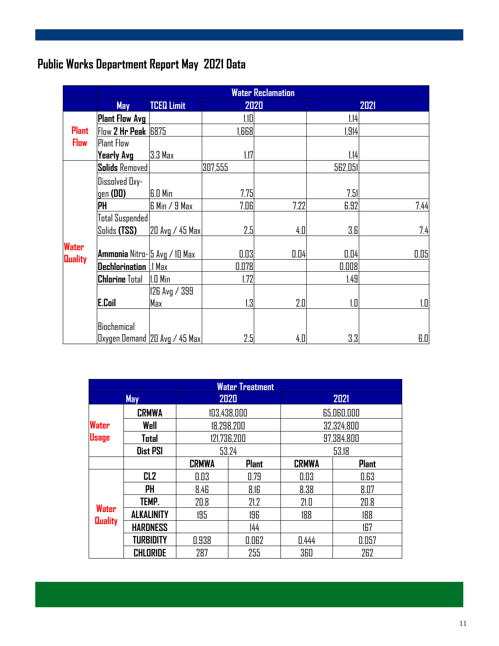### **Public Works Department Report May 2021 Data**

|                                | <b>Water Reclamation</b>      |                               |         |      |         |      |
|--------------------------------|-------------------------------|-------------------------------|---------|------|---------|------|
|                                | May                           | <b>TCEQ Limit</b>             | 2020    |      |         | 2021 |
|                                | <b>Plant Flow Avg</b>         |                               | 1.10    |      | 1.14    |      |
| <b>Plant</b>                   | Flow 2 Hr Peak 6875           |                               | ,668    |      | 1,914   |      |
| <b>Flow</b>                    | <b>Plant Flow</b>             |                               |         |      |         |      |
|                                | Yearly Avg                    | 3.3 Max                       | 1.17    |      | 1.14    |      |
|                                | <b>Solids</b> Removed         |                               | 307,555 |      | 562,051 |      |
|                                | Dissolved Dxy-                |                               |         |      |         |      |
|                                | $gen$ (DD)                    | <b>6.0 Min</b>                | 7.75    |      | 7.51    |      |
|                                | PH                            | G Min / 9 Max                 | 7.06    | 7.22 | 6.92    | 7.44 |
|                                | Total Suspended               |                               |         |      |         |      |
|                                | Solids <b>(TSS)</b>           | 20 Avg / 45 Max               | 2.5     | 4.0  | 3.6     | 7.4  |
| <b>Water</b><br><b>Quality</b> | Ammonia Nitro-15 Avg / 10 Max |                               | 0.03    | 0.04 | 0.04    | 0.05 |
|                                | <b>Dechlorination</b>         | .1 Max                        | 0.078   |      | 0.008   |      |
|                                | <b>Chlorine</b> Total         | $1.0$ Min                     | 1.72    |      | 1.49    |      |
|                                |                               | 126 Avg / 399                 |         |      |         |      |
|                                | <b>E.Coil</b>                 | Max                           | 1.3     | 2.0  | 1.0     | 1.0  |
|                                | Biochemical                   |                               |         |      |         |      |
|                                |                               | Dxygen Demand 20 Avg / 45 Max | 2.5     | 4.0  | 3.3     | 6.0  |

| <b>Water Treatment</b>         |                   |              |              |              |              |  |
|--------------------------------|-------------------|--------------|--------------|--------------|--------------|--|
|                                | 2020<br>May       |              |              |              | 2021         |  |
|                                | <b>CRMWA</b>      | 103,438,000  |              | 65,060,000   |              |  |
| <b>Water</b>                   | Well              |              | 18,298,200   | 32,324,800   |              |  |
| <b>Usage</b>                   | Total             |              | 121,736,200  | 97,384,800   |              |  |
|                                | <b>Dist PSI</b>   | 53.24        |              |              | 53.18        |  |
|                                |                   | <b>CRMWA</b> | <b>Plant</b> | <b>CRMWA</b> | <b>Plant</b> |  |
|                                | CL <sub>2</sub>   | 0.03         | 0.79         | 0.03         | 0.63         |  |
|                                | PH                | 8.46         | 8.16         | 8.38         | 8.07         |  |
|                                | TEMP.             | 20.8         | 21.2         | 21.0         | 20.8         |  |
| <b>Water</b><br><b>Quality</b> | <b>ALKALINITY</b> | 195          | 196          | 188          | 188          |  |
|                                | <b>HARDNESS</b>   |              | 144          |              | 167          |  |
|                                | <b>TURBIDITY</b>  | 0.938        | 0.062        | 0.444        | 0.057        |  |
|                                | <b>CHLORIDE</b>   | 287          | 255          | 360          | 262          |  |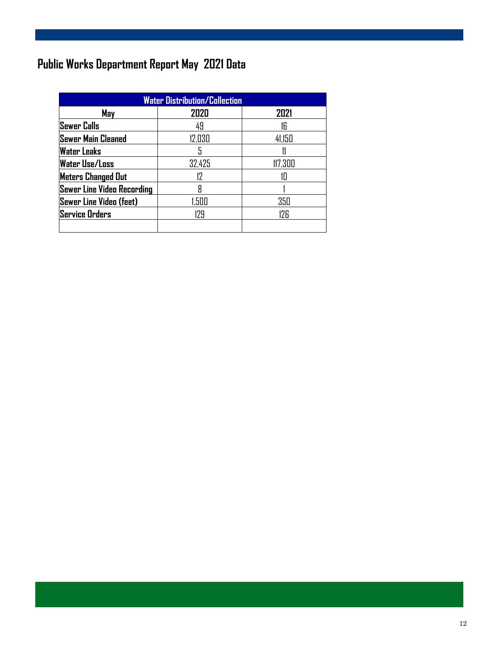### **Public Works Department Report May 2021 Data**

| <b>Water Distribution/Collection</b> |        |         |  |  |
|--------------------------------------|--------|---------|--|--|
| May                                  | 2020   | 2021    |  |  |
| <b>Sewer Calls</b>                   | 49     | ۱ĥ      |  |  |
| Sewer Main Cleaned                   | 12,030 | 41,150  |  |  |
| <b>Water Leaks</b>                   | 5      |         |  |  |
| <b>Water Use/Loss</b>                | 32,425 | 117,300 |  |  |
| <b>Meters Changed Out</b>            | 17     |         |  |  |
| <b>Sewer Line Video Recording</b>    | R      |         |  |  |
| <b>Sewer Line Video (feet)</b>       | 1,500  | 350     |  |  |
| <b>Service Orders</b>                | 179    | 17F     |  |  |
|                                      |        |         |  |  |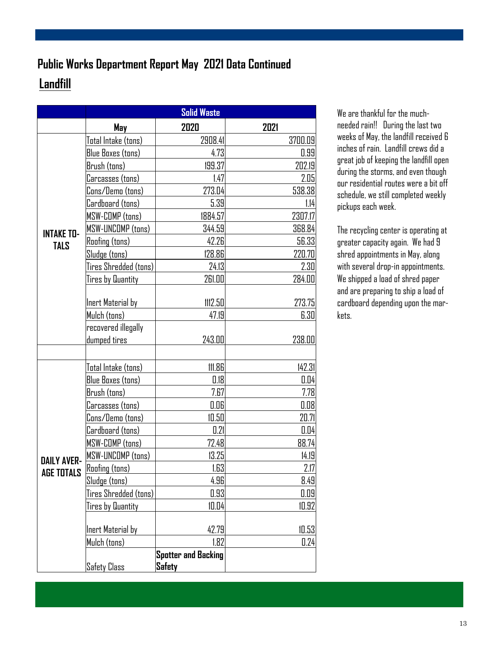### **Landfill Public Works Department Report May 2021 Data Continued**

|                    | <b>Solid Waste</b>       |                            |         |
|--------------------|--------------------------|----------------------------|---------|
|                    | May                      | 2020                       | 2021    |
|                    | Total Intake (tons)      | 2908.41                    | 3700.09 |
|                    | <b>Blue Boxes (tons)</b> | 4.73                       | 0.99    |
|                    | Brush (tons)             | 199.37                     | 202.19  |
|                    | Carcasses (tons)         | 1.47                       | 2.05    |
|                    | Cons/Demo (tons)         | 273.04                     | 538.38  |
|                    | Cardboard (tons)         | 5.39                       | 1.14    |
|                    | MSW-COMP (tons)          | 1884.57                    | 2307.17 |
| <b>INTAKE TO-</b>  | MSW-UNCOMP (tons)        | 344.59                     | 368.84  |
| <b>TALS</b>        | <b>Roofing</b> (tons)    | 42.26                      | 56.33   |
|                    | Sludge (tons)            | 128.86                     | 220.70  |
|                    | Tires Shredded (tons)    | 24.13                      | 2.30    |
|                    | Tires by Quantity        | 261.00                     | 284.00  |
|                    |                          |                            |         |
|                    | Inert Material by        | 1112.50                    | 273.75  |
|                    | Mulch (tons)             | 47.19                      | 6.30    |
|                    | recovered illegally      |                            |         |
|                    | dumped tires             | 243.00                     | 238.00  |
|                    |                          |                            |         |
|                    | Total Intake (tons)      | 111.86                     | 142.31  |
|                    | <b>Blue Boxes (tons)</b> | 0.18                       | 0.04    |
|                    | Brush (tons)             | 7.67                       | 7.78    |
|                    | Carcasses (tons)         | 0.06                       | 0.08    |
|                    | Cons/Demo (tons)         | 10.50                      | 20.71   |
|                    | Cardboard (tons)         | 0.21                       | 0.04    |
|                    | MSW-COMP (tons)          | 72.48                      | 88.74   |
| <b>DAILY AVER-</b> | <b>MSW-UNCOMP (tons)</b> | 13.25                      | 14.19   |
| <b>AGE TOTALS</b>  | <b>Roofing</b> (tons)    | 1.63                       | 2.17    |
|                    | Sludge (tons)            | 4.96                       | 8.49    |
|                    | Tires Shredded (tons)    | 0.93                       | 0.09    |
|                    | Tires by Quantity        | 10.04                      | 10.92   |
|                    | Inert Material by        | 42.79                      | 10.53   |
|                    | Mulch (tons)             | 1.82                       | 0.24    |
|                    |                          | <b>Spotter and Backing</b> |         |
|                    | <b>Safety Class</b>      | Safety                     |         |

We are thankful for the muchneeded rain!! During the last two weeks of May, the landfill received 6 inches of rain. Landfill crews did a great job of keeping the landfill open during the storms, and even though our residential routes were a bit off schedule, we still completed weekly pickups each week.

The recycling center is operating at greater capacity again. We had 9 shred appointments in May, along with several drop-in appointments. We shipped a load of shred paper and are preparing to ship a load of cardboard depending upon the markets.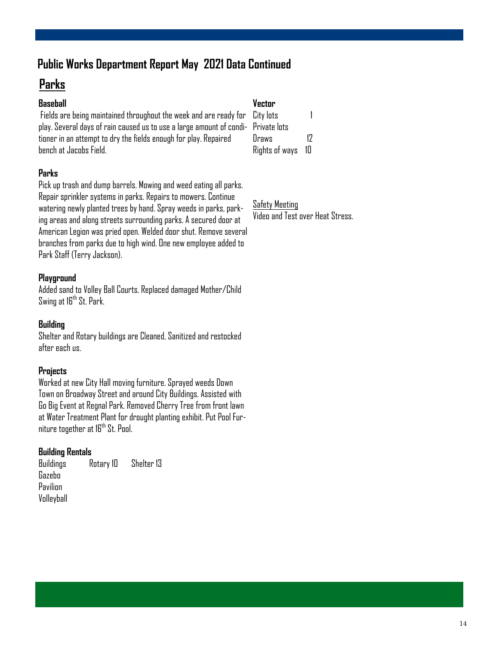### **Public Works Department Report May 2021 Data Continued**

### **Parks**

#### **Baseball**

 Fields are being maintained throughout the week and are ready for play. Several days of rain caused us to use a large amount of conditioner in an attempt to dry the fields enough for play. Repaired bench at Jacobs Field.

#### **Parks**

Pick up trash and dump barrels. Mowing and weed eating all parks. Repair sprinkler systems in parks. Repairs to mowers. Continue watering newly planted trees by hand. Spray weeds in parks, parking areas and along streets surrounding parks. A secured door at American Legion was pried open. Welded door shut. Remove several branches from parks due to high wind. One new employee added to Park Staff (Terry Jackson).

#### **Playground**

Added sand to Volley Ball Courts. Replaced damaged Mother/Child Swing at 16<sup>th</sup> St. Park.

#### **Building**

Shelter and Rotary buildings are Cleaned, Sanitized and restocked after each us.

#### **Projects**

Worked at new City Hall moving furniture. Sprayed weeds Down Town on Broadway Street and around City Buildings. Assisted with Go Big Event at Regnal Park. Removed Cherry Tree from front lawn at Water Treatment Plant for drought planting exhibit. Put Pool Furniture together at 16<sup>th</sup> St. Pool.

#### **Building Rentals**

Buildings Rotary 10 Shelter 13 Gazebo Pavilion Volleyball

**Vector**

| City lots      |    |
|----------------|----|
| Private lots   |    |
| Draws          | 17 |
| Rights of ways | 1П |

Safety Meeting Video and Test over Heat Stress.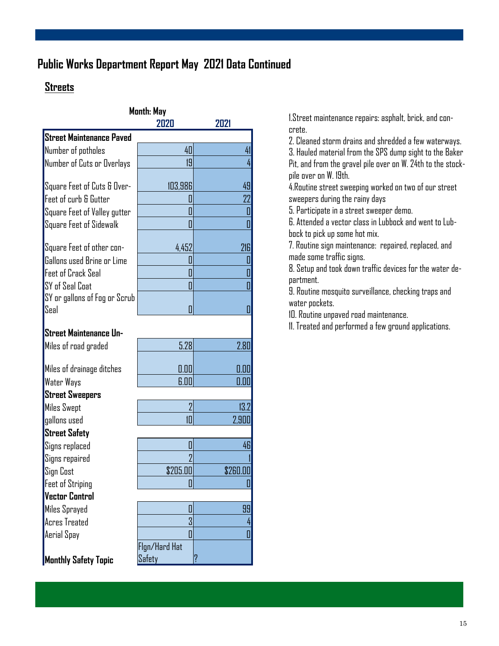### **Public Works Department Report May 2021 Data Continued**

#### **Streets**

|                                 | Month: May<br>7N7N | 2021     |
|---------------------------------|--------------------|----------|
| <b>Street Maintenance Paved</b> |                    |          |
| Number of potholes              | 40                 | 41       |
| Number of Cuts or Overlays      | 19                 | 4        |
|                                 |                    |          |
| Square Feet of Cuts & Over-     | 103,986            | 49       |
| Feet of curb & Gutter           | O                  | 22       |
| Square Feet of Valley gutter    | I                  | 0        |
| Square Feet of Sidewalk         | П                  | Π        |
|                                 |                    |          |
| Square Feet of other con-       | 4,452              | 216      |
| Gallons used Brine or Lime      | I                  | 0        |
| <b>Feet of Crack Seal</b>       | Π                  | Π        |
| SY of Seal Coat                 | 0                  | 0        |
| SY or gallons of Fog or Scrub   |                    |          |
| Seal                            | Π                  | П        |
| <b>Street Maintenance Un-</b>   |                    |          |
| Miles of road graded            | 5.28               | 2.80     |
|                                 |                    |          |
| Miles of drainage ditches       | 0.00               | 0.00     |
| Water Ways                      | 6.00               | 0.00     |
| <b>Street Sweepers</b>          |                    |          |
| <b>Miles Swept</b>              | $\overline{2}$     | 13.2     |
| gallons used                    | 们                  | 2,900    |
| <b>Street Safety</b>            |                    |          |
| Signs replaced                  | U                  | 46       |
| Signs repaired                  | $\overline{2}$     |          |
| Sign Cost                       | \$205.00           | \$260.00 |
| <b>Feet of Striping</b>         | П                  | П        |
| <b>Vector Control</b>           |                    |          |
| Miles Sprayed                   | U                  | 99       |
| Acres Treated                   | 3                  | 4        |
| Aerial Spay                     | 0                  | O        |
|                                 | Flgn/Hard Hat      |          |
| <b>Monthly Safety Topic</b>     | Safety             | ?        |

1.Street maintenance repairs: asphalt, brick, and concrete.

2. Cleaned storm drains and shredded a few waterways. 3. Hauled material from the SPS dump sight to the Baker Pit, and from the gravel pile over on W. 24th to the stockpile over on W. 19th.

4.Routine street sweeping worked on two of our street sweepers during the rainy days

5. Participate in a street sweeper demo.

6. Attended a vector class in Lubbock and went to Lubbock to pick up some hot mix.

7. Routine sign maintenance: repaired, replaced, and made some traffic signs.

8. Setup and took down traffic devices for the water department.

9. Routine mosquito surveillance, checking traps and water pockets.

10. Routine unpaved road maintenance.

11. Treated and performed a few ground applications.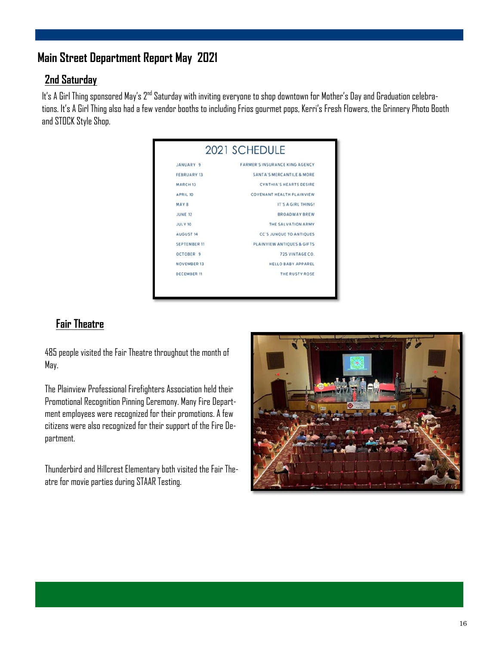#### **Main Street Department Report May 2021**

#### **2nd Saturday**

It's A Girl Thing sponsored May's 2<sup>nd</sup> Saturday with inviting everyone to shop downtown for Mother's Day and Graduation celebrations. It's A Girl Thing also had a few vendor booths to including Frios gourmet pops, Kerri's Fresh Flowers, the Grinnery Photo Booth and STOCK Style Shop.

|                     | 2021 SCHEDULE                         |
|---------------------|---------------------------------------|
| JANUARY 9           | <b>FARMER'S INSURANCE KING AGENCY</b> |
| <b>FEBRUARY 13</b>  | SANTA'S MERCANTILE & MORE             |
| MARCH <sub>13</sub> | <b>CYNTHIA'S HEARTS DESIRE</b>        |
| APRIL 10            | COVENANT HEALTH PLAINVIEW             |
| MAY 8               | IT'S A GIRL THING!                    |
| <b>JUNE 12</b>      | <b>BROADWAY BREW</b>                  |
| <b>JULY 10</b>      | THE SALVATION ARMY                    |
| <b>AUGUST 14</b>    | <b>CC'S JUNOUE TO ANTIQUES</b>        |
| <b>SEPTEMBER 11</b> | PLAINVIEW ANTIQUES & GIFTS            |
| OCTOBER 9           | 725 VINTAGE CO.                       |
| <b>NOVEMBER 13</b>  | <b>HELLO BABY APPAREL</b>             |
| <b>DECEMBER 11</b>  | THE RUSTY ROSE                        |

#### **Fair Theatre**

485 people visited the Fair Theatre throughout the month of May.

The Plainview Professional Firefighters Association held their Promotional Recognition Pinning Ceremony. Many Fire Department employees were recognized for their promotions. A few citizens were also recognized for their support of the Fire Department.

Thunderbird and Hillcrest Elementary both visited the Fair Theatre for movie parties during STAAR Testing.

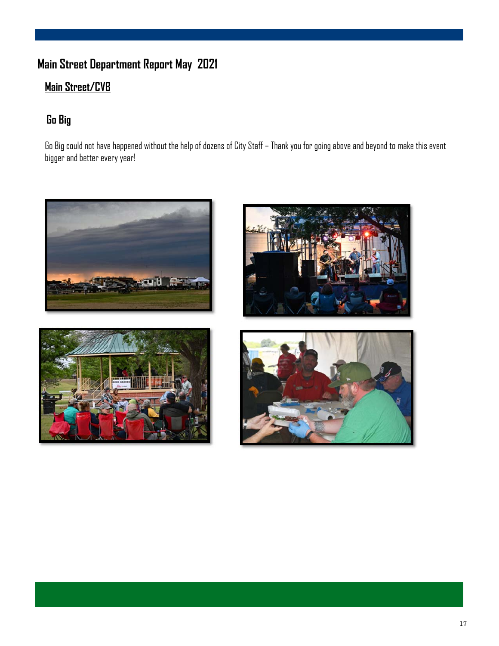### **Main Street Department Report May 2021**

### **Main Street/CVB**

### **Go Big**

Go Big could not have happened without the help of dozens of City Staff – Thank you for going above and beyond to make this event bigger and better every year!







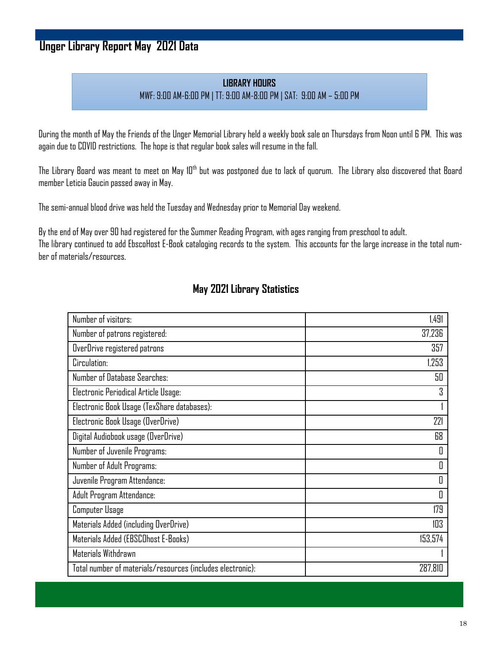### **Unger Library Report May 2021 Data**

#### **LIBRARY HOURS** MWF: 9:00 AM-6:00 PM | TT: 9:00 AM-8:00 PM | SAT: 9:00 AM – 5:00 PM

During the month of May the Friends of the Unger Memorial Library held a weekly book sale on Thursdays from Noon until 6 PM. This was again due to COVID restrictions. The hope is that regular book sales will resume in the fall.

The Library Board was meant to meet on May 10<sup>th</sup> but was postponed due to lack of quorum. The Library also discovered that Board member Leticia Gaucin passed away in May.

The semi-annual blood drive was held the Tuesday and Wednesday prior to Memorial Day weekend.

By the end of May over 90 had registered for the Summer Reading Program, with ages ranging from preschool to adult. The library continued to add EbscoHost E-Book cataloging records to the system. This accounts for the large increase in the total number of materials/resources.

#### **May 2021 Library Statistics**

| Number of visitors:                                        | 1,491   |
|------------------------------------------------------------|---------|
| Number of patrons registered:                              | 37,236  |
| OverDrive registered patrons                               | 357     |
| Circulation:                                               | 1,253   |
| Number of Database Searches:                               | 50      |
| Electronic Periodical Article Usage:                       | 3       |
| Electronic Book Usage (TexShare databases):                |         |
| Electronic Book Usage (OverDrive)                          | 221     |
| Digital Audiobook usage (OverDrive)                        | 68      |
| Number of Juvenile Programs:                               | 0       |
| Number of Adult Programs:                                  | 0       |
| Juvenile Program Attendance:                               | 0       |
| Adult Program Attendance:                                  | 0       |
| Computer Usage                                             | 179     |
| Materials Added (including OverDrive)                      | 103     |
| Materials Added (EBSCOhost E-Books)                        | 153,574 |
| Materials Withdrawn                                        |         |
| Total number of materials/resources (includes electronic): | 287,810 |